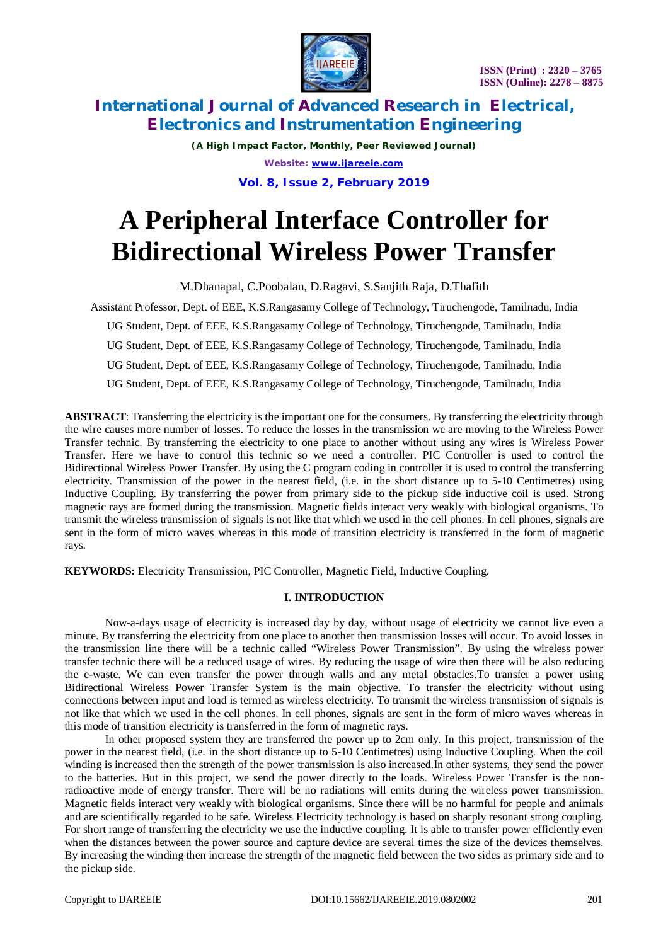

*(A High Impact Factor, Monthly, Peer Reviewed Journal) Website: [www.ijareeie.com](http://www.ijareeie.com)* **Vol. 8, Issue 2, February 2019**

# **A Peripheral Interface Controller for Bidirectional Wireless Power Transfer**

M.Dhanapal, C.Poobalan, D.Ragavi, S.Sanjith Raja, D.Thafith

Assistant Professor, Dept. of EEE, K.S.Rangasamy College of Technology, Tiruchengode, Tamilnadu, India UG Student, Dept. of EEE, K.S.Rangasamy College of Technology, Tiruchengode, Tamilnadu, India UG Student, Dept. of EEE, K.S.Rangasamy College of Technology, Tiruchengode, Tamilnadu, India UG Student, Dept. of EEE, K.S.Rangasamy College of Technology, Tiruchengode, Tamilnadu, India UG Student, Dept. of EEE, K.S.Rangasamy College of Technology, Tiruchengode, Tamilnadu, India

**ABSTRACT**: Transferring the electricity is the important one for the consumers. By transferring the electricity through the wire causes more number of losses. To reduce the losses in the transmission we are moving to the Wireless Power Transfer technic. By transferring the electricity to one place to another without using any wires is Wireless Power Transfer. Here we have to control this technic so we need a controller. PIC Controller is used to control the Bidirectional Wireless Power Transfer. By using the C program coding in controller it is used to control the transferring electricity. Transmission of the power in the nearest field, (i.e. in the short distance up to 5-10 Centimetres) using Inductive Coupling. By transferring the power from primary side to the pickup side inductive coil is used. Strong magnetic rays are formed during the transmission. Magnetic fields interact very weakly with biological organisms. To transmit the wireless transmission of signals is not like that which we used in the cell phones. In cell phones, signals are sent in the form of micro waves whereas in this mode of transition electricity is transferred in the form of magnetic rays.

**KEYWORDS:** Electricity Transmission, PIC Controller, Magnetic Field, Inductive Coupling.

# **I. INTRODUCTION**

Now-a-days usage of electricity is increased day by day, without usage of electricity we cannot live even a minute. By transferring the electricity from one place to another then transmission losses will occur. To avoid losses in the transmission line there will be a technic called "Wireless Power Transmission". By using the wireless power transfer technic there will be a reduced usage of wires. By reducing the usage of wire then there will be also reducing the e-waste. We can even transfer the power through walls and any metal obstacles.To transfer a power using Bidirectional Wireless Power Transfer System is the main objective. To transfer the electricity without using connections between input and load is termed as wireless electricity. To transmit the wireless transmission of signals is not like that which we used in the cell phones. In cell phones, signals are sent in the form of micro waves whereas in this mode of transition electricity is transferred in the form of magnetic rays.

In other proposed system they are transferred the power up to 2cm only. In this project, transmission of the power in the nearest field, (i.e. in the short distance up to 5-10 Centimetres) using Inductive Coupling. When the coil winding is increased then the strength of the power transmission is also increased.In other systems, they send the power to the batteries. But in this project, we send the power directly to the loads. Wireless Power Transfer is the nonradioactive mode of energy transfer. There will be no radiations will emits during the wireless power transmission. Magnetic fields interact very weakly with biological organisms. Since there will be no harmful for people and animals and are scientifically regarded to be safe. Wireless Electricity technology is based on sharply resonant strong coupling. For short range of transferring the electricity we use the inductive coupling. It is able to transfer power efficiently even when the distances between the power source and capture device are several times the size of the devices themselves. By increasing the winding then increase the strength of the magnetic field between the two sides as primary side and to the pickup side.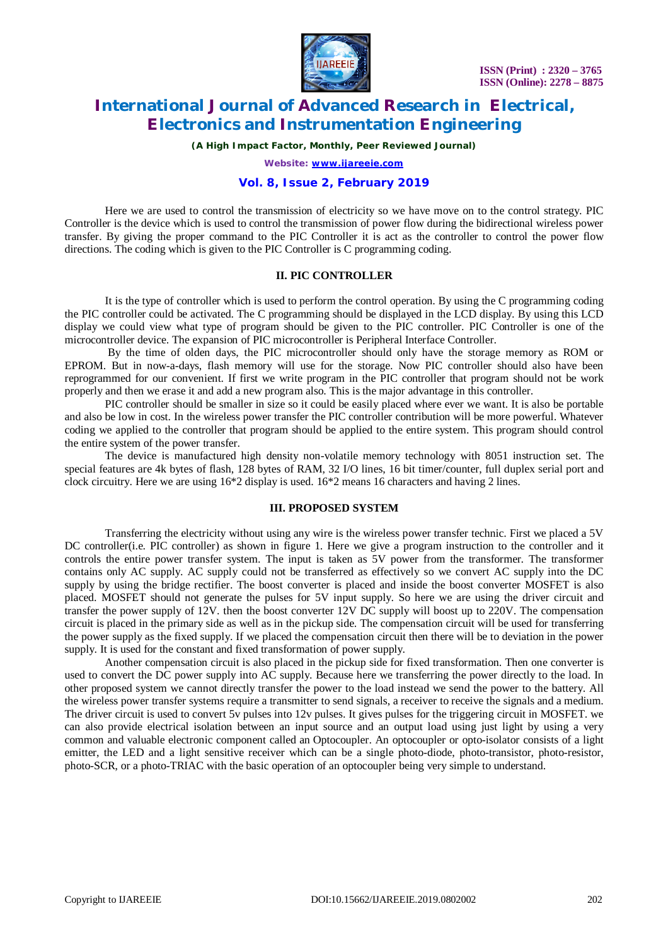

*(A High Impact Factor, Monthly, Peer Reviewed Journal)*

*Website: [www.ijareeie.com](http://www.ijareeie.com)*

### **Vol. 8, Issue 2, February 2019**

Here we are used to control the transmission of electricity so we have move on to the control strategy. PIC Controller is the device which is used to control the transmission of power flow during the bidirectional wireless power transfer. By giving the proper command to the PIC Controller it is act as the controller to control the power flow directions. The coding which is given to the PIC Controller is C programming coding.

## **II. PIC CONTROLLER**

It is the type of controller which is used to perform the control operation. By using the C programming coding the PIC controller could be activated. The C programming should be displayed in the LCD display. By using this LCD display we could view what type of program should be given to the PIC controller. PIC Controller is one of the microcontroller device. The expansion of PIC microcontroller is Peripheral Interface Controller.

By the time of olden days, the PIC microcontroller should only have the storage memory as ROM or EPROM. But in now-a-days, flash memory will use for the storage. Now PIC controller should also have been reprogrammed for our convenient. If first we write program in the PIC controller that program should not be work properly and then we erase it and add a new program also. This is the major advantage in this controller.

PIC controller should be smaller in size so it could be easily placed where ever we want. It is also be portable and also be low in cost. In the wireless power transfer the PIC controller contribution will be more powerful. Whatever coding we applied to the controller that program should be applied to the entire system. This program should control the entire system of the power transfer.

The device is manufactured high density non-volatile memory technology with 8051 instruction set. The special features are 4k bytes of flash, 128 bytes of RAM, 32 I/O lines, 16 bit timer/counter, full duplex serial port and clock circuitry. Here we are using 16\*2 display is used. 16\*2 means 16 characters and having 2 lines.

#### **III. PROPOSED SYSTEM**

Transferring the electricity without using any wire is the wireless power transfer technic. First we placed a 5V DC controller(i.e. PIC controller) as shown in figure 1. Here we give a program instruction to the controller and it controls the entire power transfer system. The input is taken as 5V power from the transformer. The transformer contains only AC supply. AC supply could not be transferred as effectively so we convert AC supply into the DC supply by using the bridge rectifier. The boost converter is placed and inside the boost converter MOSFET is also placed. MOSFET should not generate the pulses for 5V input supply. So here we are using the driver circuit and transfer the power supply of  $12V$ , then the boost converter  $12V$  DC supply will boost up to  $220V$ . The compensation circuit is placed in the primary side as well as in the pickup side. The compensation circuit will be used for transferring the power supply as the fixed supply. If we placed the compensation circuit then there will be to deviation in the power supply. It is used for the constant and fixed transformation of power supply.

Another compensation circuit is also placed in the pickup side for fixed transformation. Then one converter is used to convert the DC power supply into AC supply. Because here we transferring the power directly to the load. In other proposed system we cannot directly transfer the power to the load instead we send the power to the battery. All the wireless power transfer systems require a transmitter to send signals, a receiver to receive the signals and a medium. The driver circuit is used to convert 5v pulses into 12v pulses. It gives pulses for the triggering circuit in MOSFET. we can also provide electrical isolation between an input source and an output load using just light by using a very common and valuable electronic component called an Optocoupler. An optocoupler or opto-isolator consists of a light emitter, the LED and a light sensitive receiver which can be a single photo-diode, photo-transistor, photo-resistor, photo-SCR, or a photo-TRIAC with the basic operation of an optocoupler being very simple to understand.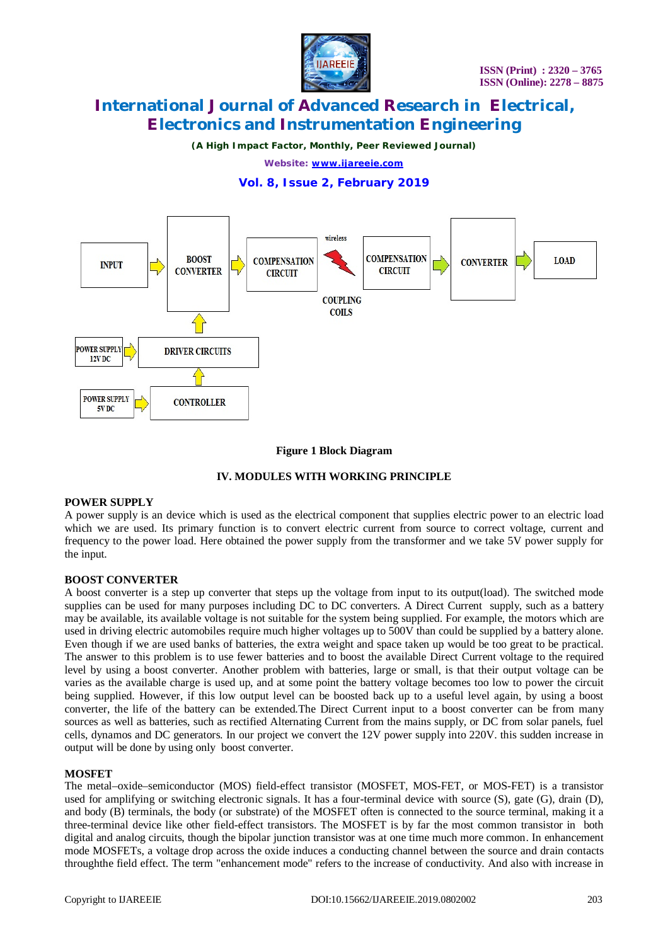

*(A High Impact Factor, Monthly, Peer Reviewed Journal)*

*Website: [www.ijareeie.com](http://www.ijareeie.com)*

# **Vol. 8, Issue 2, February 2019**



### **Figure 1 Block Diagram**

### **IV. MODULES WITH WORKING PRINCIPLE**

### **POWER SUPPLY**

A power supply is an device which is used as the electrical component that supplies electric power to an electric load which we are used. Its primary function is to convert electric current from source to correct voltage, current and frequency to the power load. Here obtained the power supply from the transformer and we take 5V power supply for the input.

### **BOOST CONVERTER**

A boost converter is a step up converter that steps up the voltage from input to its output(load). The switched mode supplies can be used for many purposes including DC to DC converters. A Direct Current supply, such as a battery may be available, its available voltage is not suitable for the system being supplied. For example, the motors which are used in driving electric automobiles require much higher voltages up to 500V than could be supplied by a battery alone. Even though if we are used banks of batteries, the extra weight and space taken up would be too great to be practical. The answer to this problem is to use fewer batteries and to boost the available Direct Current voltage to the required level by using a boost converter. Another problem with batteries, large or small, is that their output voltage can be varies as the available charge is used up, and at some point the battery voltage becomes too low to power the circuit being supplied. However, if this low output level can be boosted back up to a useful level again, by using a boost converter, the life of the battery can be extended.The Direct Current input to a boost converter can be from many sources as well as batteries, such as rectified Alternating Current from the mains supply, or DC from solar panels, fuel cells, dynamos and DC generators. In our project we convert the 12V power supply into 220V. this sudden increase in output will be done by using only boost converter.

#### **MOSFET**

The metal–oxide–semiconductor (MOS) field-effect transistor (MOSFET, MOS-FET, or MOS-FET) is a transistor used for amplifying or switching electronic signals. It has a four-terminal device with source (S), gate (G), drain (D), and body (B) terminals, the body (or substrate) of the MOSFET often is connected to the source terminal, making it a three-terminal device like other field-effect transistors. The MOSFET is by far the most common transistor in both digital and analog circuits, though the bipolar junction transistor was at one time much more common. In enhancement mode MOSFETs, a voltage drop across the oxide induces a conducting channel between the source and drain contacts throughthe field effect. The term "enhancement mode" refers to the increase of conductivity. And also with increase in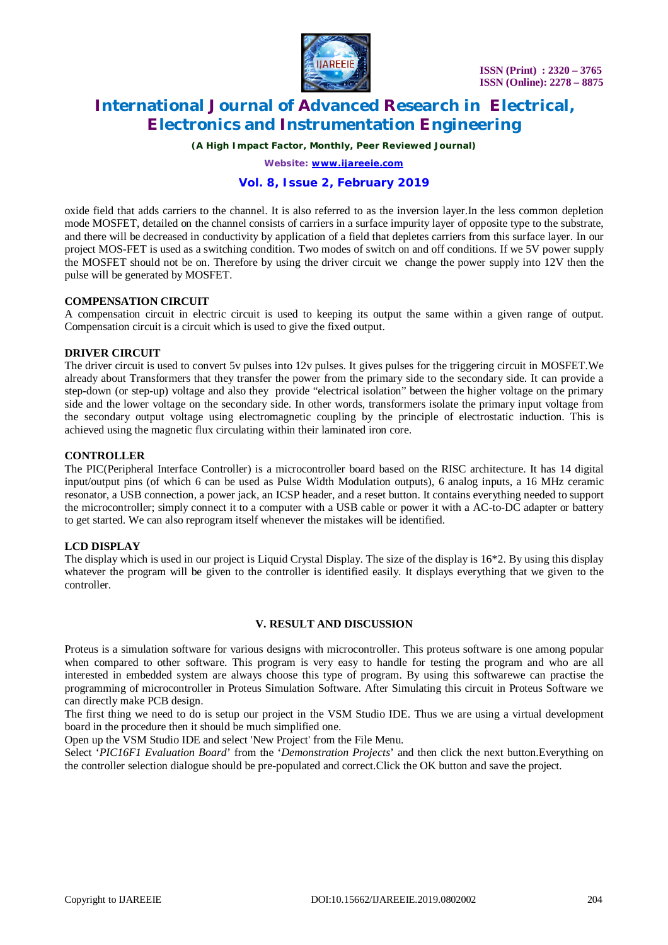

*(A High Impact Factor, Monthly, Peer Reviewed Journal)*

*Website: [www.ijareeie.com](http://www.ijareeie.com)*

# **Vol. 8, Issue 2, February 2019**

oxide field that adds carriers to the channel. It is also referred to as the inversion layer.In the less common depletion mode MOSFET, detailed on the channel consists of carriers in a surface impurity layer of opposite type to the substrate, and there will be decreased in conductivity by application of a field that depletes carriers from this surface layer. In our project MOS-FET is used as a switching condition. Two modes of switch on and off conditions. If we 5V power supply the MOSFET should not be on. Therefore by using the driver circuit we change the power supply into 12V then the pulse will be generated by MOSFET.

### **COMPENSATION CIRCUIT**

A compensation circuit in electric circuit is used to keeping its output the same within a given range of output. Compensation circuit is a circuit which is used to give the fixed output.

### **DRIVER CIRCUIT**

The driver circuit is used to convert 5v pulses into 12v pulses. It gives pulses for the triggering circuit in MOSFET.We already about Transformers that they transfer the power from the primary side to the secondary side. It can provide a step-down (or step-up) voltage and also they provide "electrical isolation" between the higher voltage on the primary side and the lower voltage on the secondary side. In other words, transformers isolate the primary input voltage from the secondary output voltage using electromagnetic coupling by the principle of electrostatic induction. This is achieved using the magnetic flux circulating within their laminated iron core.

### **CONTROLLER**

The PIC(Peripheral Interface Controller) is a microcontroller board based on the RISC architecture. It has 14 digital input/output pins (of which 6 can be used as Pulse Width Modulation outputs), 6 analog inputs, a 16 MHz ceramic resonator, a USB connection, a power jack, an ICSP header, and a reset button. It contains everything needed to support the microcontroller; simply connect it to a computer with a USB cable or power it with a AC-to-DC adapter or battery to get started. We can also reprogram itself whenever the mistakes will be identified.

### **LCD DISPLAY**

The display which is used in our project is Liquid Crystal Display. The size of the display is 16\*2. By using this display whatever the program will be given to the controller is identified easily. It displays everything that we given to the controller.

#### **V. RESULT AND DISCUSSION**

Proteus is a simulation software for various designs with microcontroller. This proteus software is one among popular when compared to other software. This program is very easy to handle for testing the program and who are all interested in embedded system are always choose this type of program. By using this softwarewe can practise the programming of microcontroller in Proteus Simulation Software. After Simulating this circuit in Proteus Software we can directly make PCB design.

The first thing we need to do is setup our project in the VSM Studio IDE. Thus we are using a virtual development board in the procedure then it should be much simplified one.

Open up the VSM Studio IDE and select 'New Project' from the File Menu.

Select '*PIC16F1 Evaluation Board*' from the '*Demonstration Projects*' and then click the next button.Everything on the controller selection dialogue should be pre-populated and correct.Click the OK button and save the project.